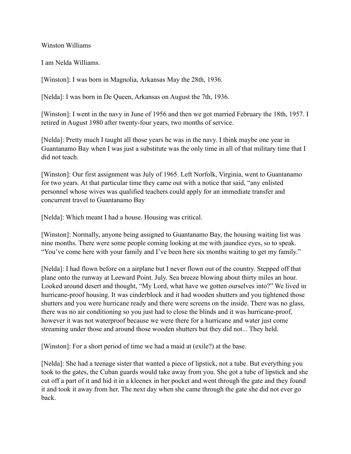Winston Williams

I am Nelda Williams.

[Winston]: I was born in Magnolia, Arkansas May the 28th, 1936.

[Nelda]: I was born in De Queen, Arkansas on August the 7th, 1936.

[Winston]: I went in the navy in June of 1956 and then we got married February the 18th, 1957. I retired in August 1980 after twenty-four years, two months of service.

[Nelda]: Pretty much I taught all those years he was in the navy. I think maybe one year in Guantanamo Bay when I was just a substitute was the only time in all of that military time that I did not teach.

[Winston]: Our first assignment was July of 1965. Left Norfolk, Virginia, went to Guantanamo for two years. At that particular time they came out with a notice that said, "any enlisted personnel whose wives was qualified teachers could apply for an immediate transfer and concurrent travel to Guantanamo Bay

[Nelda]: Which meant I had a house. Housing was critical.

[Winston]: Normally, anyone being assigned to Guantanamo Bay, the housing waiting list was nine months. There were some people coming looking at me with jaundice eyes, so to speak. "You've come here with your family and I've been here six months waiting to get my family."

[Nelda]: I had flown before on a airplane but I never flown out of the country. Stepped off that plane onto the runway at Leeward Point. July. Sea breeze blowing about thirty miles an hour. Looked around desert and thought, "My Lord, what have we gotten ourselves into?" We lived in hurricane-proof housing. It was cinderblock and it had wooden shutters and you tightened those shutters and you were hurricane ready and there were screens on the inside. There was no glass, there was no air conditioning so you just had to close the blinds and it was hurricane-proof, however it was not waterproof because we were there for a hurricane and water just come streaming under those and around those wooden shutters but they did not... They held.

[Winston]: For a short period of time we had a maid at (exile?) at the base.

[Nelda]: She had a teenage sister that wanted a piece of lipstick, not a tube. But everything you took to the gates, the Cuban guards would take away from you. She got a tube of lipstick and she cut off a part of it and hid it in a kleenex in her pocket and went through the gate and they found it and took it away from her. The next day when she came through the gate she did not ever go back.